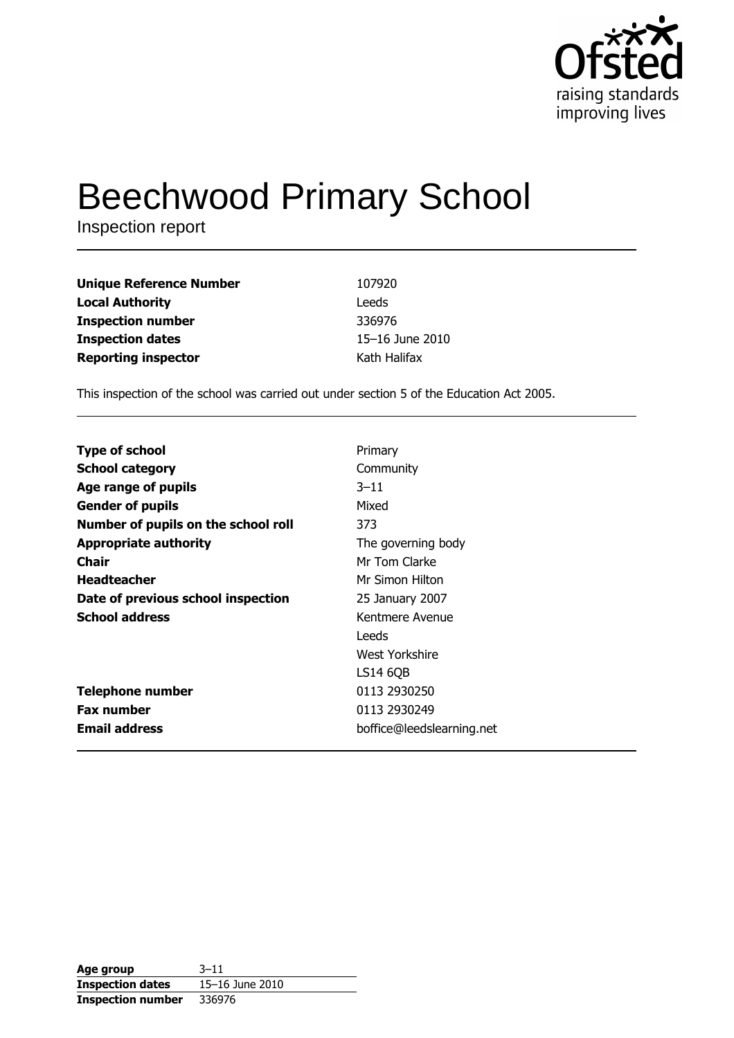

# **Beechwood Primary School**

Inspection report

| <b>Unique Reference Number</b> | 107920          |
|--------------------------------|-----------------|
| <b>Local Authority</b>         | Leeds           |
| <b>Inspection number</b>       | 336976          |
| <b>Inspection dates</b>        | 15-16 June 2010 |
| <b>Reporting inspector</b>     | Kath Halifax    |

This inspection of the school was carried out under section 5 of the Education Act 2005.

| <b>Type of school</b>               | Primary                   |
|-------------------------------------|---------------------------|
| <b>School category</b>              | Community                 |
| Age range of pupils                 | $3 - 11$                  |
| <b>Gender of pupils</b>             | Mixed                     |
| Number of pupils on the school roll | 373                       |
| <b>Appropriate authority</b>        | The governing body        |
| Chair                               | Mr Tom Clarke             |
| <b>Headteacher</b>                  | Mr Simon Hilton           |
| Date of previous school inspection  | 25 January 2007           |
| <b>School address</b>               | Kentmere Avenue           |
|                                     | Leeds                     |
|                                     | West Yorkshire            |
|                                     | LS14 6QB                  |
| <b>Telephone number</b>             | 0113 2930250              |
| <b>Fax number</b>                   | 0113 2930249              |
| <b>Email address</b>                | boffice@leedslearning.net |

| Age group                | $3 - 11$        |
|--------------------------|-----------------|
| <b>Inspection dates</b>  | 15-16 June 2010 |
| <b>Inspection number</b> | 336976          |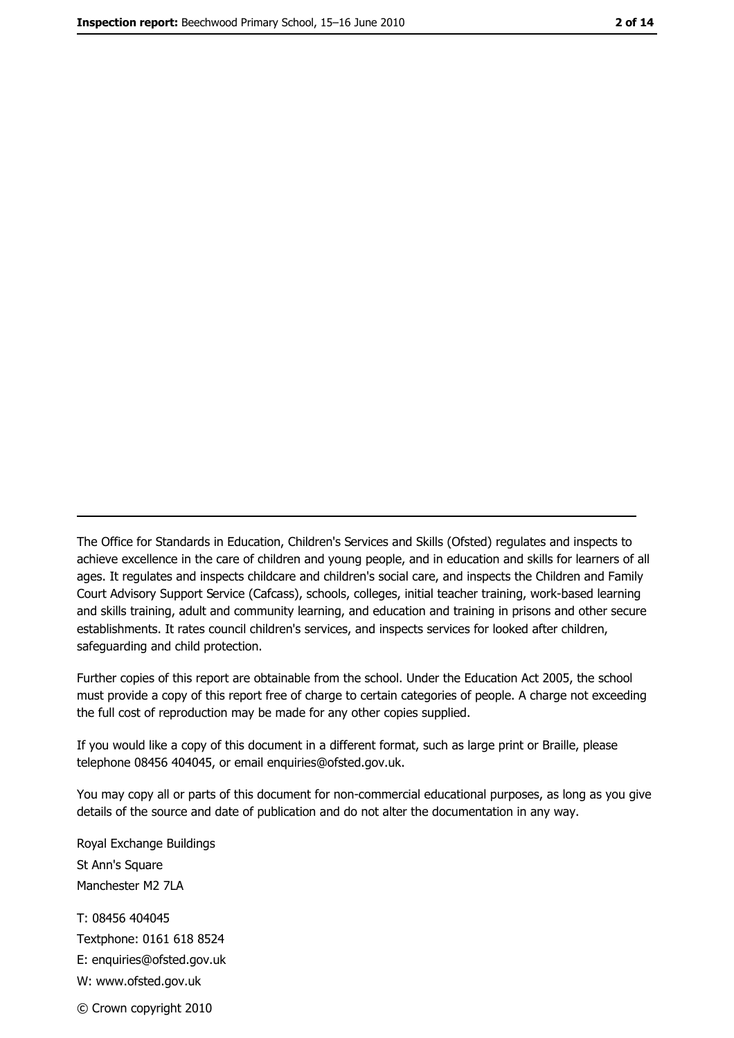The Office for Standards in Education, Children's Services and Skills (Ofsted) regulates and inspects to achieve excellence in the care of children and young people, and in education and skills for learners of all ages. It regulates and inspects childcare and children's social care, and inspects the Children and Family Court Advisory Support Service (Cafcass), schools, colleges, initial teacher training, work-based learning and skills training, adult and community learning, and education and training in prisons and other secure establishments. It rates council children's services, and inspects services for looked after children, safequarding and child protection.

Further copies of this report are obtainable from the school. Under the Education Act 2005, the school must provide a copy of this report free of charge to certain categories of people. A charge not exceeding the full cost of reproduction may be made for any other copies supplied.

If you would like a copy of this document in a different format, such as large print or Braille, please telephone 08456 404045, or email enquiries@ofsted.gov.uk.

You may copy all or parts of this document for non-commercial educational purposes, as long as you give details of the source and date of publication and do not alter the documentation in any way.

Royal Exchange Buildings St Ann's Square Manchester M2 7LA T: 08456 404045 Textphone: 0161 618 8524 E: enquiries@ofsted.gov.uk W: www.ofsted.gov.uk © Crown copyright 2010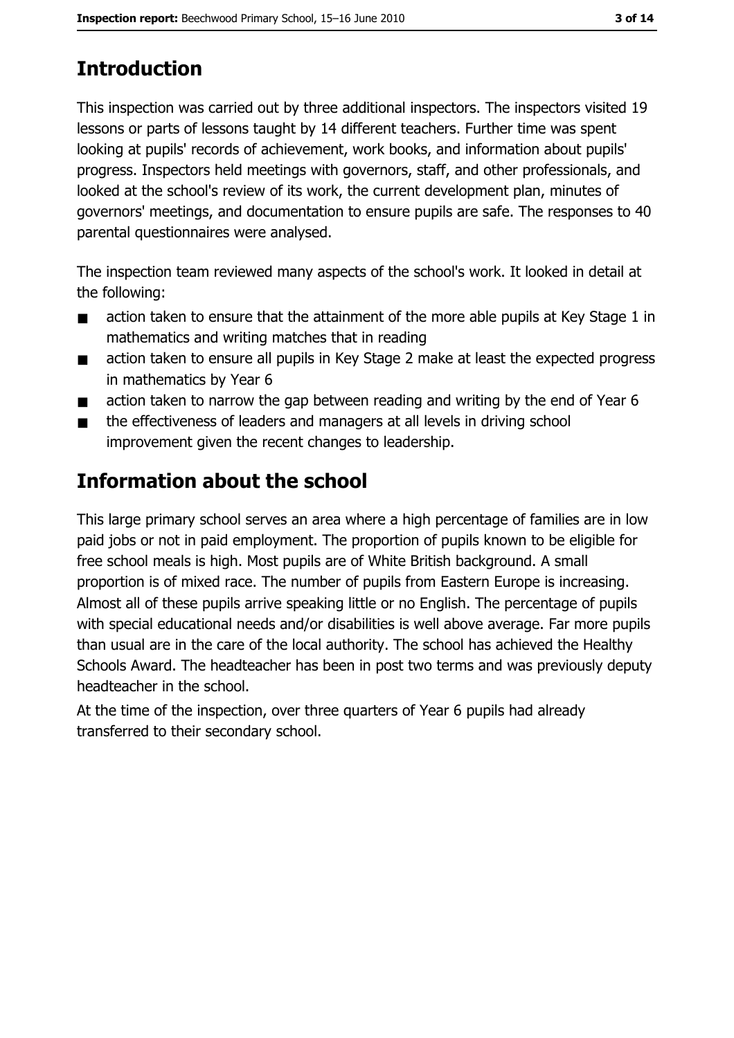# **Introduction**

This inspection was carried out by three additional inspectors. The inspectors visited 19 lessons or parts of lessons taught by 14 different teachers. Further time was spent looking at pupils' records of achievement, work books, and information about pupils' progress. Inspectors held meetings with governors, staff, and other professionals, and looked at the school's review of its work, the current development plan, minutes of governors' meetings, and documentation to ensure pupils are safe. The responses to 40 parental questionnaires were analysed.

The inspection team reviewed many aspects of the school's work. It looked in detail at the following:

- action taken to ensure that the attainment of the more able pupils at Key Stage 1 in  $\blacksquare$ mathematics and writing matches that in reading
- action taken to ensure all pupils in Key Stage 2 make at least the expected progress  $\blacksquare$ in mathematics by Year 6
- action taken to narrow the gap between reading and writing by the end of Year 6  $\blacksquare$
- the effectiveness of leaders and managers at all levels in driving school  $\blacksquare$ improvement given the recent changes to leadership.

# Information about the school

This large primary school serves an area where a high percentage of families are in low paid jobs or not in paid employment. The proportion of pupils known to be eligible for free school meals is high. Most pupils are of White British background. A small proportion is of mixed race. The number of pupils from Eastern Europe is increasing. Almost all of these pupils arrive speaking little or no English. The percentage of pupils with special educational needs and/or disabilities is well above average. Far more pupils than usual are in the care of the local authority. The school has achieved the Healthy Schools Award. The headteacher has been in post two terms and was previously deputy headteacher in the school.

At the time of the inspection, over three quarters of Year 6 pupils had already transferred to their secondary school.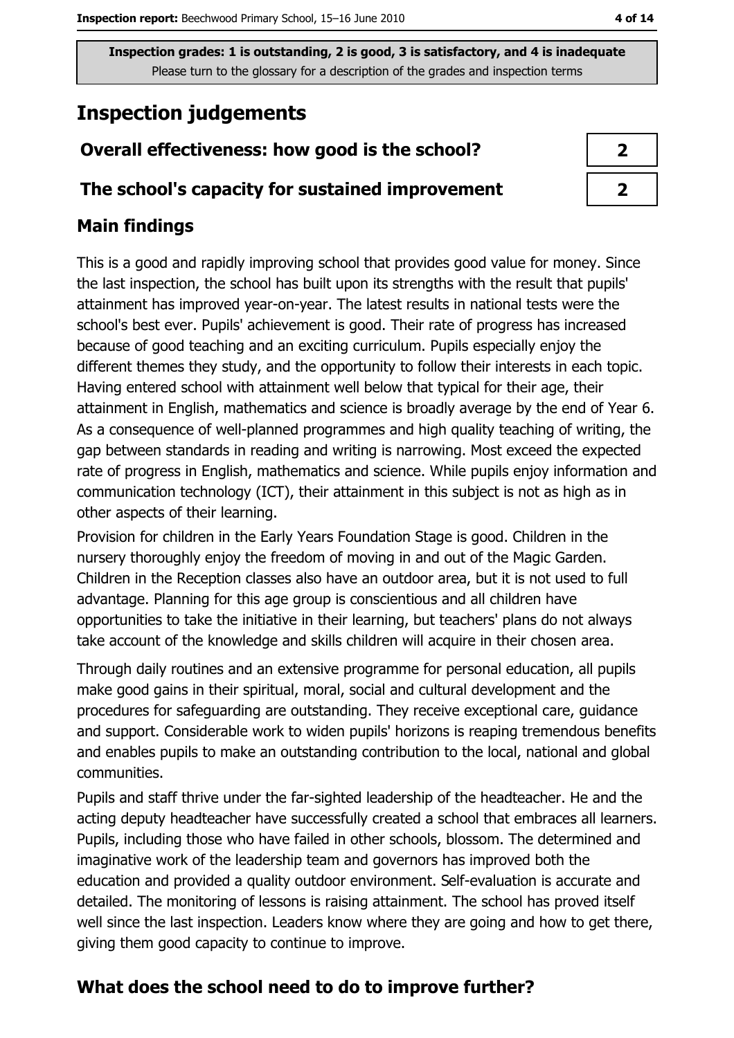# **Inspection judgements**

# Overall effectiveness: how good is the school?

#### The school's capacity for sustained improvement

## **Main findings**

This is a good and rapidly improving school that provides good value for money. Since the last inspection, the school has built upon its strengths with the result that pupils' attainment has improved year-on-year. The latest results in national tests were the school's best ever. Pupils' achievement is good. Their rate of progress has increased because of good teaching and an exciting curriculum. Pupils especially enjoy the different themes they study, and the opportunity to follow their interests in each topic. Having entered school with attainment well below that typical for their age, their attainment in English, mathematics and science is broadly average by the end of Year 6. As a consequence of well-planned programmes and high quality teaching of writing, the gap between standards in reading and writing is narrowing. Most exceed the expected rate of progress in English, mathematics and science. While pupils enjoy information and communication technology (ICT), their attainment in this subject is not as high as in other aspects of their learning.

Provision for children in the Early Years Foundation Stage is good. Children in the nursery thoroughly enjoy the freedom of moving in and out of the Magic Garden. Children in the Reception classes also have an outdoor area, but it is not used to full advantage. Planning for this age group is conscientious and all children have opportunities to take the initiative in their learning, but teachers' plans do not always take account of the knowledge and skills children will acquire in their chosen area.

Through daily routines and an extensive programme for personal education, all pupils make good gains in their spiritual, moral, social and cultural development and the procedures for safeguarding are outstanding. They receive exceptional care, guidance and support. Considerable work to widen pupils' horizons is reaping tremendous benefits and enables pupils to make an outstanding contribution to the local, national and global communities.

Pupils and staff thrive under the far-sighted leadership of the headteacher. He and the acting deputy headteacher have successfully created a school that embraces all learners. Pupils, including those who have failed in other schools, blossom. The determined and imaginative work of the leadership team and governors has improved both the education and provided a quality outdoor environment. Self-evaluation is accurate and detailed. The monitoring of lessons is raising attainment. The school has proved itself well since the last inspection. Leaders know where they are going and how to get there, giving them good capacity to continue to improve.

## What does the school need to do to improve further?

| 2 |
|---|
| 7 |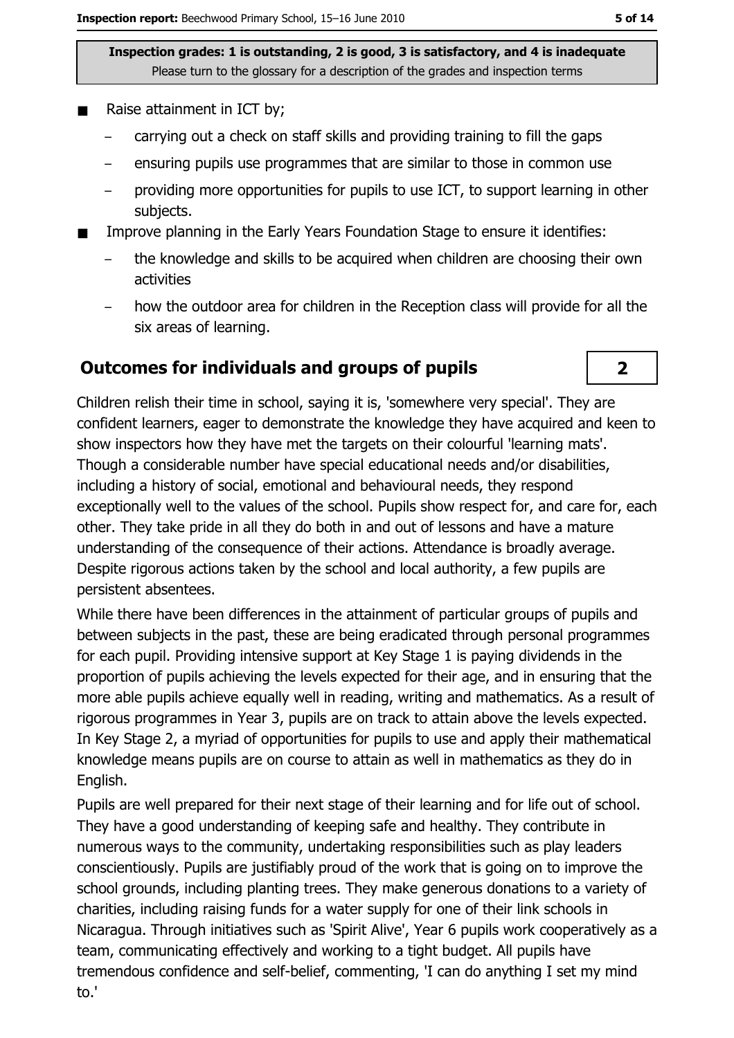- Raise attainment in ICT by;
	- carrying out a check on staff skills and providing training to fill the gaps
	- ensuring pupils use programmes that are similar to those in common use
	- providing more opportunities for pupils to use ICT, to support learning in other subjects.
- Improve planning in the Early Years Foundation Stage to ensure it identifies:  $\blacksquare$ 
	- the knowledge and skills to be acquired when children are choosing their own activities
	- how the outdoor area for children in the Reception class will provide for all the six areas of learning.

#### **Outcomes for individuals and groups of pupils**

Children relish their time in school, saying it is, 'somewhere very special'. They are confident learners, eager to demonstrate the knowledge they have acquired and keen to show inspectors how they have met the targets on their colourful 'learning mats'. Though a considerable number have special educational needs and/or disabilities, including a history of social, emotional and behavioural needs, they respond exceptionally well to the values of the school. Pupils show respect for, and care for, each other. They take pride in all they do both in and out of lessons and have a mature understanding of the consequence of their actions. Attendance is broadly average. Despite rigorous actions taken by the school and local authority, a few pupils are persistent absentees.

While there have been differences in the attainment of particular groups of pupils and between subjects in the past, these are being eradicated through personal programmes for each pupil. Providing intensive support at Key Stage 1 is paying dividends in the proportion of pupils achieving the levels expected for their age, and in ensuring that the more able pupils achieve equally well in reading, writing and mathematics. As a result of rigorous programmes in Year 3, pupils are on track to attain above the levels expected. In Key Stage 2, a myriad of opportunities for pupils to use and apply their mathematical knowledge means pupils are on course to attain as well in mathematics as they do in English.

Pupils are well prepared for their next stage of their learning and for life out of school. They have a good understanding of keeping safe and healthy. They contribute in numerous ways to the community, undertaking responsibilities such as play leaders conscientiously. Pupils are justifiably proud of the work that is going on to improve the school grounds, including planting trees. They make generous donations to a variety of charities, including raising funds for a water supply for one of their link schools in Nicaragua. Through initiatives such as 'Spirit Alive', Year 6 pupils work cooperatively as a team, communicating effectively and working to a tight budget. All pupils have tremendous confidence and self-belief, commenting, 'I can do anything I set my mind to.'

 $2<sup>1</sup>$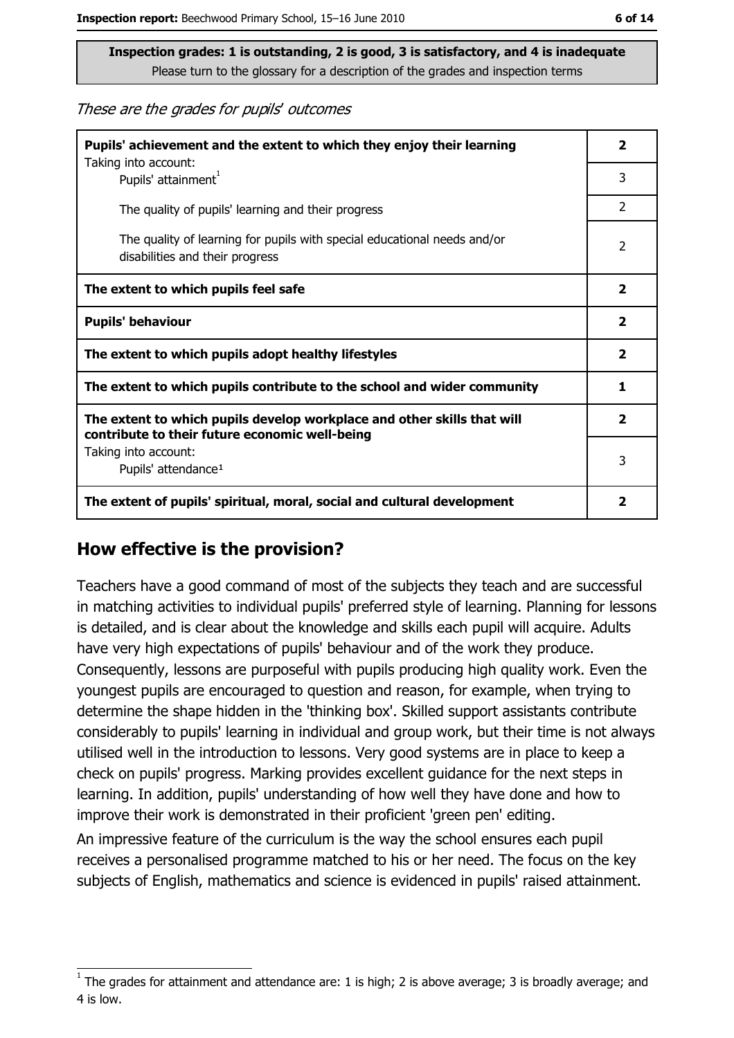These are the grades for pupils' outcomes

| Pupils' achievement and the extent to which they enjoy their learning                                                     |                |
|---------------------------------------------------------------------------------------------------------------------------|----------------|
| Taking into account:<br>Pupils' attainment <sup>1</sup>                                                                   |                |
| The quality of pupils' learning and their progress                                                                        | $\overline{2}$ |
| The quality of learning for pupils with special educational needs and/or<br>disabilities and their progress               |                |
| The extent to which pupils feel safe                                                                                      |                |
| <b>Pupils' behaviour</b>                                                                                                  |                |
| The extent to which pupils adopt healthy lifestyles                                                                       |                |
| The extent to which pupils contribute to the school and wider community                                                   |                |
| The extent to which pupils develop workplace and other skills that will<br>contribute to their future economic well-being |                |
| Taking into account:<br>Pupils' attendance <sup>1</sup>                                                                   |                |
| The extent of pupils' spiritual, moral, social and cultural development                                                   |                |

#### How effective is the provision?

Teachers have a good command of most of the subjects they teach and are successful in matching activities to individual pupils' preferred style of learning. Planning for lessons is detailed, and is clear about the knowledge and skills each pupil will acquire. Adults have very high expectations of pupils' behaviour and of the work they produce. Consequently, lessons are purposeful with pupils producing high quality work. Even the youngest pupils are encouraged to question and reason, for example, when trying to determine the shape hidden in the 'thinking box'. Skilled support assistants contribute considerably to pupils' learning in individual and group work, but their time is not always utilised well in the introduction to lessons. Very good systems are in place to keep a check on pupils' progress. Marking provides excellent guidance for the next steps in learning. In addition, pupils' understanding of how well they have done and how to improve their work is demonstrated in their proficient 'green pen' editing.

An impressive feature of the curriculum is the way the school ensures each pupil receives a personalised programme matched to his or her need. The focus on the key subjects of English, mathematics and science is evidenced in pupils' raised attainment.

The grades for attainment and attendance are: 1 is high; 2 is above average; 3 is broadly average; and 4 is low.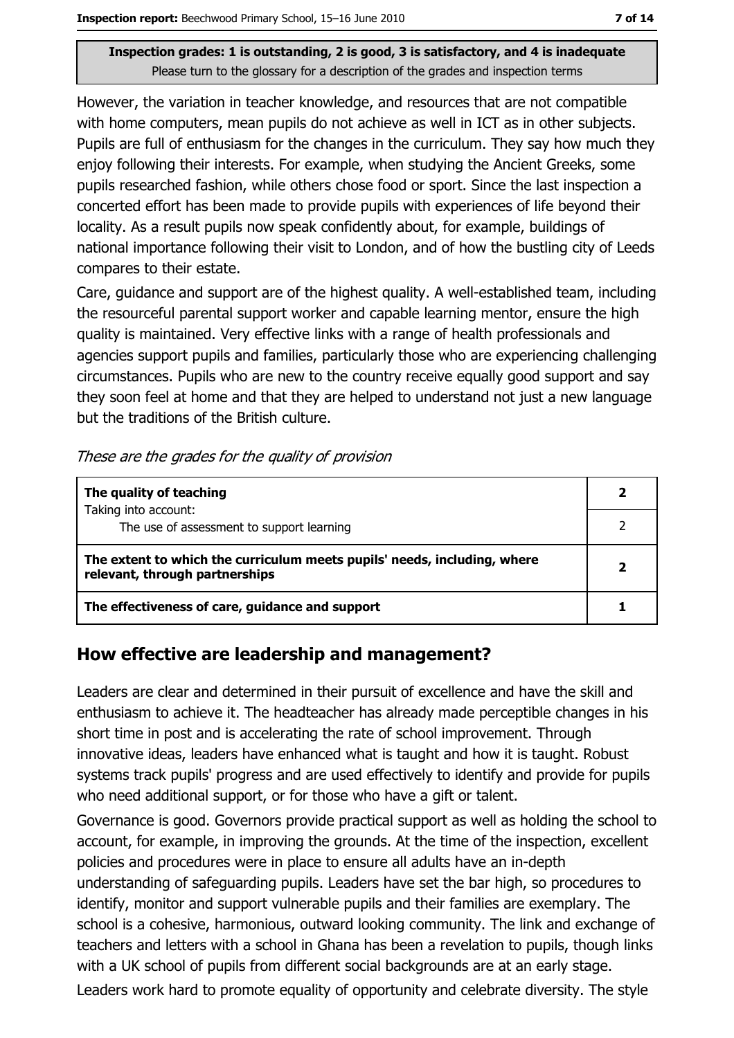However, the variation in teacher knowledge, and resources that are not compatible with home computers, mean pupils do not achieve as well in ICT as in other subjects. Pupils are full of enthusiasm for the changes in the curriculum. They say how much they enjoy following their interests. For example, when studying the Ancient Greeks, some pupils researched fashion, while others chose food or sport. Since the last inspection a concerted effort has been made to provide pupils with experiences of life beyond their locality. As a result pupils now speak confidently about, for example, buildings of national importance following their visit to London, and of how the bustling city of Leeds compares to their estate.

Care, guidance and support are of the highest guality. A well-established team, including the resourceful parental support worker and capable learning mentor, ensure the high quality is maintained. Very effective links with a range of health professionals and agencies support pupils and families, particularly those who are experiencing challenging circumstances. Pupils who are new to the country receive equally good support and say they soon feel at home and that they are helped to understand not just a new language but the traditions of the British culture.

| The quality of teaching                                                                                    |  |
|------------------------------------------------------------------------------------------------------------|--|
| Taking into account:<br>The use of assessment to support learning                                          |  |
| The extent to which the curriculum meets pupils' needs, including, where<br>relevant, through partnerships |  |
| The effectiveness of care, guidance and support                                                            |  |

## How effective are leadership and management?

Leaders are clear and determined in their pursuit of excellence and have the skill and enthusiasm to achieve it. The headteacher has already made perceptible changes in his short time in post and is accelerating the rate of school improvement. Through innovative ideas, leaders have enhanced what is taught and how it is taught. Robust systems track pupils' progress and are used effectively to identify and provide for pupils who need additional support, or for those who have a gift or talent.

Governance is good. Governors provide practical support as well as holding the school to account, for example, in improving the grounds. At the time of the inspection, excellent policies and procedures were in place to ensure all adults have an in-depth understanding of safeguarding pupils. Leaders have set the bar high, so procedures to identify, monitor and support vulnerable pupils and their families are exemplary. The school is a cohesive, harmonious, outward looking community. The link and exchange of teachers and letters with a school in Ghana has been a revelation to pupils, though links with a UK school of pupils from different social backgrounds are at an early stage. Leaders work hard to promote equality of opportunity and celebrate diversity. The style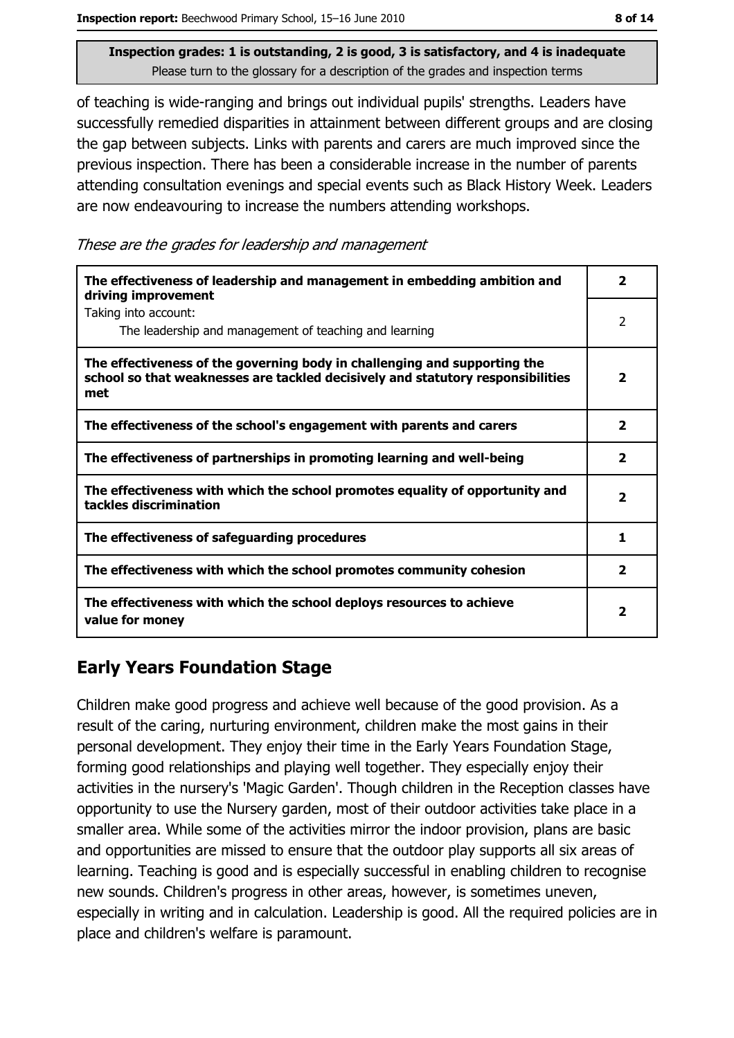of teaching is wide-ranging and brings out individual pupils' strengths. Leaders have successfully remedied disparities in attainment between different groups and are closing the gap between subjects. Links with parents and carers are much improved since the previous inspection. There has been a considerable increase in the number of parents attending consultation evenings and special events such as Black History Week. Leaders are now endeavouring to increase the numbers attending workshops.

These are the grades for leadership and management

| The effectiveness of leadership and management in embedding ambition and<br>driving improvement                                                                     |              |  |
|---------------------------------------------------------------------------------------------------------------------------------------------------------------------|--------------|--|
| Taking into account:<br>The leadership and management of teaching and learning                                                                                      | 2            |  |
| The effectiveness of the governing body in challenging and supporting the<br>school so that weaknesses are tackled decisively and statutory responsibilities<br>met | 2            |  |
| The effectiveness of the school's engagement with parents and carers                                                                                                | $\mathbf{2}$ |  |
| The effectiveness of partnerships in promoting learning and well-being                                                                                              | 2            |  |
| The effectiveness with which the school promotes equality of opportunity and<br>tackles discrimination                                                              | $\mathbf{2}$ |  |
| The effectiveness of safeguarding procedures                                                                                                                        | 1            |  |
| The effectiveness with which the school promotes community cohesion                                                                                                 | $\mathbf{2}$ |  |
| The effectiveness with which the school deploys resources to achieve<br>value for money                                                                             | 2            |  |

# **Early Years Foundation Stage**

Children make good progress and achieve well because of the good provision. As a result of the caring, nurturing environment, children make the most gains in their personal development. They enjoy their time in the Early Years Foundation Stage, forming good relationships and playing well together. They especially enjoy their activities in the nursery's 'Magic Garden'. Though children in the Reception classes have opportunity to use the Nursery garden, most of their outdoor activities take place in a smaller area. While some of the activities mirror the indoor provision, plans are basic and opportunities are missed to ensure that the outdoor play supports all six areas of learning. Teaching is good and is especially successful in enabling children to recognise new sounds. Children's progress in other areas, however, is sometimes uneven, especially in writing and in calculation. Leadership is good. All the required policies are in place and children's welfare is paramount.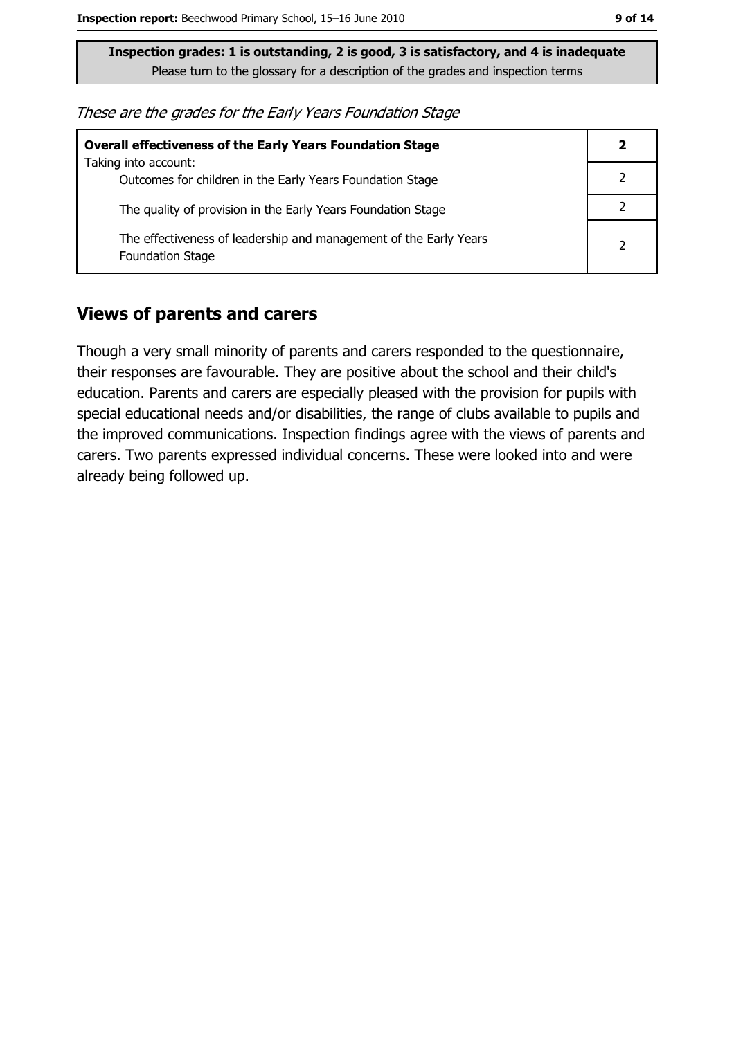These are the grades for the Early Years Foundation Stage

| <b>Overall effectiveness of the Early Years Foundation Stage</b>                             |  |  |
|----------------------------------------------------------------------------------------------|--|--|
| Taking into account:<br>Outcomes for children in the Early Years Foundation Stage            |  |  |
| The quality of provision in the Early Years Foundation Stage                                 |  |  |
| The effectiveness of leadership and management of the Early Years<br><b>Foundation Stage</b> |  |  |

#### **Views of parents and carers**

Though a very small minority of parents and carers responded to the questionnaire, their responses are favourable. They are positive about the school and their child's education. Parents and carers are especially pleased with the provision for pupils with special educational needs and/or disabilities, the range of clubs available to pupils and the improved communications. Inspection findings agree with the views of parents and carers. Two parents expressed individual concerns. These were looked into and were already being followed up.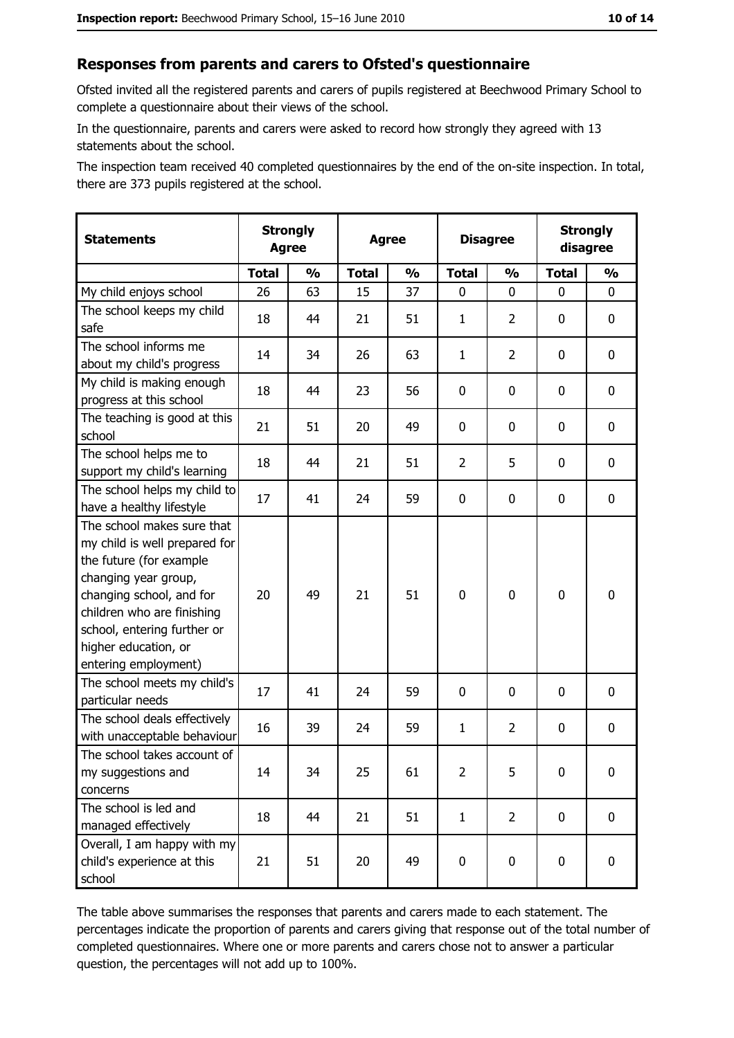#### Responses from parents and carers to Ofsted's questionnaire

Ofsted invited all the registered parents and carers of pupils registered at Beechwood Primary School to complete a questionnaire about their views of the school.

In the questionnaire, parents and carers were asked to record how strongly they agreed with 13 statements about the school.

The inspection team received 40 completed questionnaires by the end of the on-site inspection. In total, there are 373 pupils registered at the school.

| <b>Statements</b>                                                                                                                                                                                                                                       | <b>Strongly</b><br><b>Agree</b> |               | <b>Disagree</b><br><b>Agree</b> |               |                |                | <b>Strongly</b><br>disagree |               |
|---------------------------------------------------------------------------------------------------------------------------------------------------------------------------------------------------------------------------------------------------------|---------------------------------|---------------|---------------------------------|---------------|----------------|----------------|-----------------------------|---------------|
|                                                                                                                                                                                                                                                         | <b>Total</b>                    | $\frac{1}{2}$ | <b>Total</b>                    | $\frac{0}{0}$ | <b>Total</b>   | $\frac{0}{0}$  | <b>Total</b>                | $\frac{1}{2}$ |
| My child enjoys school                                                                                                                                                                                                                                  | 26                              | 63            | 15                              | 37            | 0              | 0              | $\Omega$                    | 0             |
| The school keeps my child<br>safe                                                                                                                                                                                                                       | 18                              | 44            | 21                              | 51            | $\mathbf{1}$   | $\overline{2}$ | $\mathbf{0}$                | 0             |
| The school informs me<br>about my child's progress                                                                                                                                                                                                      | 14                              | 34            | 26                              | 63            | $\mathbf{1}$   | $\overline{2}$ | $\mathbf{0}$                | 0             |
| My child is making enough<br>progress at this school                                                                                                                                                                                                    | 18                              | 44            | 23                              | 56            | $\mathbf 0$    | 0              | 0                           | 0             |
| The teaching is good at this<br>school                                                                                                                                                                                                                  | 21                              | 51            | 20                              | 49            | $\mathbf 0$    | 0              | 0                           | 0             |
| The school helps me to<br>support my child's learning                                                                                                                                                                                                   | 18                              | 44            | 21                              | 51            | $\overline{2}$ | 5              | 0                           | 0             |
| The school helps my child to<br>have a healthy lifestyle                                                                                                                                                                                                | 17                              | 41            | 24                              | 59            | $\mathbf 0$    | 0              | 0                           | 0             |
| The school makes sure that<br>my child is well prepared for<br>the future (for example<br>changing year group,<br>changing school, and for<br>children who are finishing<br>school, entering further or<br>higher education, or<br>entering employment) | 20                              | 49            | 21                              | 51            | $\mathbf 0$    | 0              | 0                           | 0             |
| The school meets my child's<br>particular needs                                                                                                                                                                                                         | 17                              | 41            | 24                              | 59            | $\mathbf 0$    | 0              | 0                           | 0             |
| The school deals effectively<br>with unacceptable behaviour                                                                                                                                                                                             | 16                              | 39            | 24                              | 59            | $\mathbf{1}$   | $\overline{2}$ | 0                           | 0             |
| The school takes account of<br>my suggestions and<br>concerns                                                                                                                                                                                           | 14                              | 34            | 25                              | 61            | $\overline{2}$ | 5              | 0                           | 0             |
| The school is led and<br>managed effectively                                                                                                                                                                                                            | 18                              | 44            | 21                              | 51            | $\mathbf{1}$   | $\overline{2}$ | 0                           | $\mathbf 0$   |
| Overall, I am happy with my<br>child's experience at this<br>school                                                                                                                                                                                     | 21                              | 51            | 20                              | 49            | $\mathbf 0$    | 0              | $\mathbf 0$                 | 0             |

The table above summarises the responses that parents and carers made to each statement. The percentages indicate the proportion of parents and carers giving that response out of the total number of completed questionnaires. Where one or more parents and carers chose not to answer a particular question, the percentages will not add up to 100%.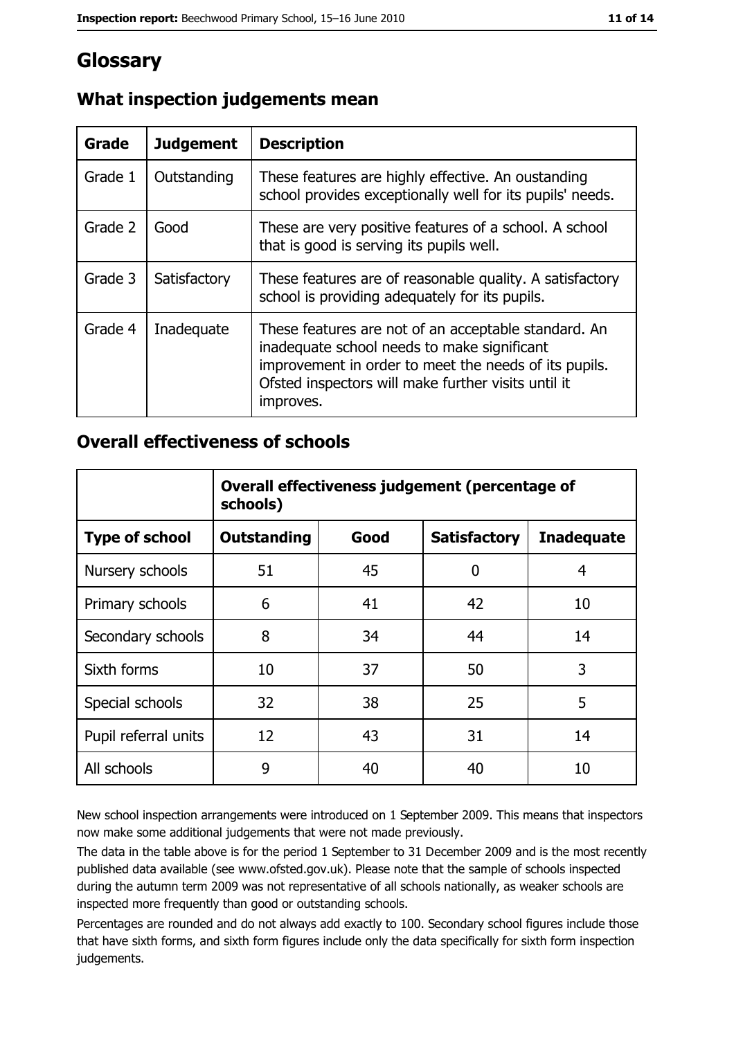# Glossary

| Grade   | <b>Judgement</b> | <b>Description</b>                                                                                                                                                                                                               |
|---------|------------------|----------------------------------------------------------------------------------------------------------------------------------------------------------------------------------------------------------------------------------|
| Grade 1 | Outstanding      | These features are highly effective. An oustanding<br>school provides exceptionally well for its pupils' needs.                                                                                                                  |
| Grade 2 | Good             | These are very positive features of a school. A school<br>that is good is serving its pupils well.                                                                                                                               |
| Grade 3 | Satisfactory     | These features are of reasonable quality. A satisfactory<br>school is providing adequately for its pupils.                                                                                                                       |
| Grade 4 | Inadequate       | These features are not of an acceptable standard. An<br>inadequate school needs to make significant<br>improvement in order to meet the needs of its pupils.<br>Ofsted inspectors will make further visits until it<br>improves. |

## What inspection judgements mean

### **Overall effectiveness of schools**

|                       | Overall effectiveness judgement (percentage of<br>schools) |      |                     |                   |  |
|-----------------------|------------------------------------------------------------|------|---------------------|-------------------|--|
| <b>Type of school</b> | <b>Outstanding</b>                                         | Good | <b>Satisfactory</b> | <b>Inadequate</b> |  |
| Nursery schools       | 51                                                         | 45   | 0                   | 4                 |  |
| Primary schools       | 6                                                          | 41   | 42                  | 10                |  |
| Secondary schools     | 8                                                          | 34   | 44                  | 14                |  |
| Sixth forms           | 10                                                         | 37   | 50                  | 3                 |  |
| Special schools       | 32                                                         | 38   | 25                  | 5                 |  |
| Pupil referral units  | 12                                                         | 43   | 31                  | 14                |  |
| All schools           | 9                                                          | 40   | 40                  | 10                |  |

New school inspection arrangements were introduced on 1 September 2009. This means that inspectors now make some additional judgements that were not made previously.

The data in the table above is for the period 1 September to 31 December 2009 and is the most recently published data available (see www.ofsted.gov.uk). Please note that the sample of schools inspected during the autumn term 2009 was not representative of all schools nationally, as weaker schools are inspected more frequently than good or outstanding schools.

Percentages are rounded and do not always add exactly to 100. Secondary school figures include those that have sixth forms, and sixth form figures include only the data specifically for sixth form inspection judgements.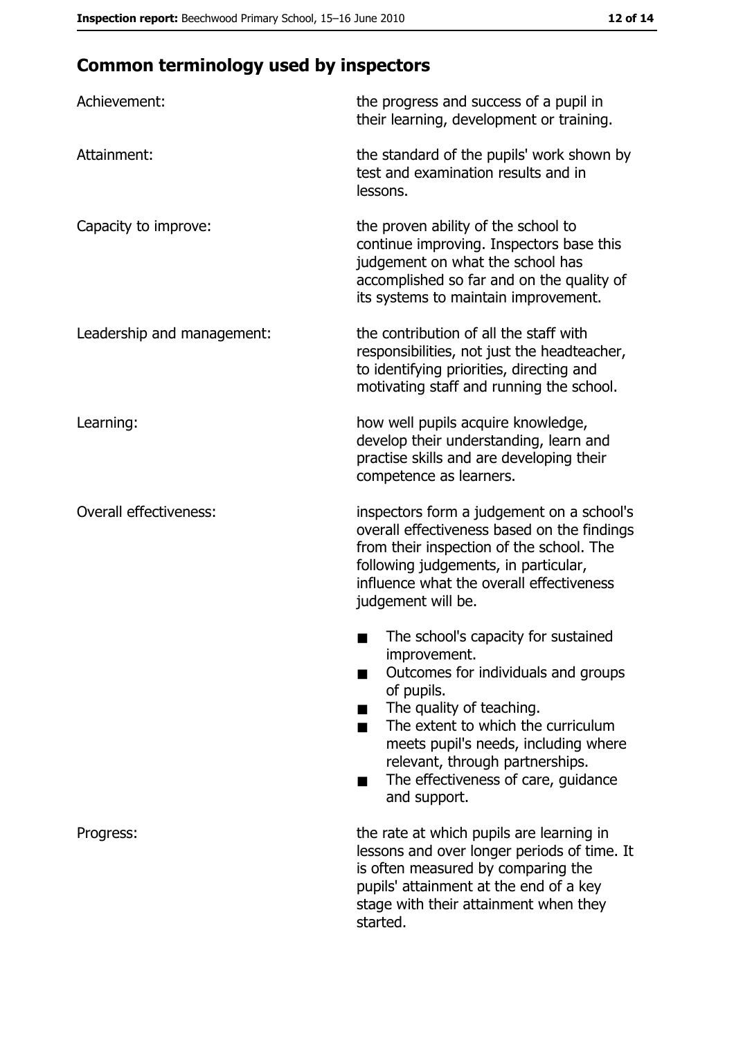# **Common terminology used by inspectors**

| Achievement:                  | the progress and success of a pupil in<br>their learning, development or training.                                                                                                                                                                                                                           |
|-------------------------------|--------------------------------------------------------------------------------------------------------------------------------------------------------------------------------------------------------------------------------------------------------------------------------------------------------------|
| Attainment:                   | the standard of the pupils' work shown by<br>test and examination results and in<br>lessons.                                                                                                                                                                                                                 |
| Capacity to improve:          | the proven ability of the school to<br>continue improving. Inspectors base this<br>judgement on what the school has<br>accomplished so far and on the quality of<br>its systems to maintain improvement.                                                                                                     |
| Leadership and management:    | the contribution of all the staff with<br>responsibilities, not just the headteacher,<br>to identifying priorities, directing and<br>motivating staff and running the school.                                                                                                                                |
| Learning:                     | how well pupils acquire knowledge,<br>develop their understanding, learn and<br>practise skills and are developing their<br>competence as learners.                                                                                                                                                          |
| <b>Overall effectiveness:</b> | inspectors form a judgement on a school's<br>overall effectiveness based on the findings<br>from their inspection of the school. The<br>following judgements, in particular,<br>influence what the overall effectiveness<br>judgement will be.                                                               |
|                               | The school's capacity for sustained<br>improvement.<br>Outcomes for individuals and groups<br>of pupils.<br>The quality of teaching.<br>The extent to which the curriculum<br>meets pupil's needs, including where<br>relevant, through partnerships.<br>The effectiveness of care, guidance<br>and support. |
| Progress:                     | the rate at which pupils are learning in<br>lessons and over longer periods of time. It<br>is often measured by comparing the<br>pupils' attainment at the end of a key<br>stage with their attainment when they<br>started.                                                                                 |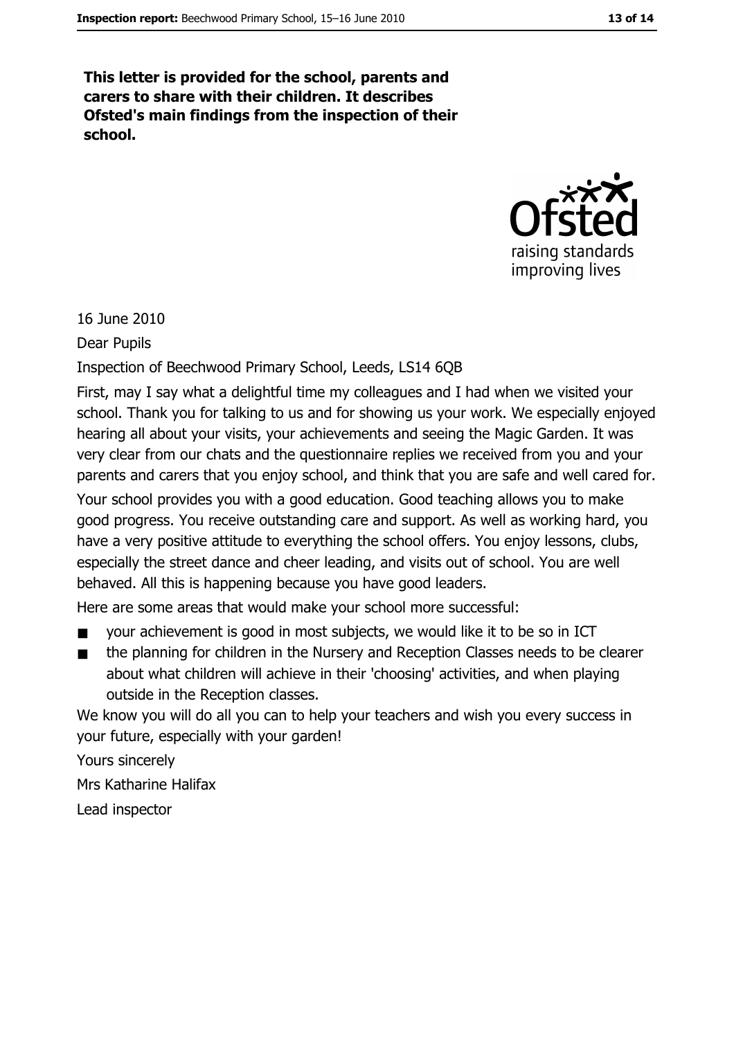This letter is provided for the school, parents and carers to share with their children. It describes Ofsted's main findings from the inspection of their school.



16 June 2010

Dear Pupils

Inspection of Beechwood Primary School, Leeds, LS14 6QB

First, may I say what a delightful time my colleagues and I had when we visited your school. Thank you for talking to us and for showing us your work. We especially enjoyed hearing all about your visits, your achievements and seeing the Magic Garden. It was very clear from our chats and the questionnaire replies we received from you and your parents and carers that you enjoy school, and think that you are safe and well cared for. Your school provides you with a good education. Good teaching allows you to make good progress. You receive outstanding care and support. As well as working hard, you have a very positive attitude to everything the school offers. You enjoy lessons, clubs, especially the street dance and cheer leading, and visits out of school. You are well behaved. All this is happening because you have good leaders.

Here are some areas that would make your school more successful:

- your achievement is good in most subjects, we would like it to be so in ICT  $\blacksquare$
- the planning for children in the Nursery and Reception Classes needs to be clearer about what children will achieve in their 'choosing' activities, and when playing outside in the Reception classes.

We know you will do all you can to help your teachers and wish you every success in your future, especially with your garden!

Yours sincerely

Mrs Katharine Halifax

Lead inspector